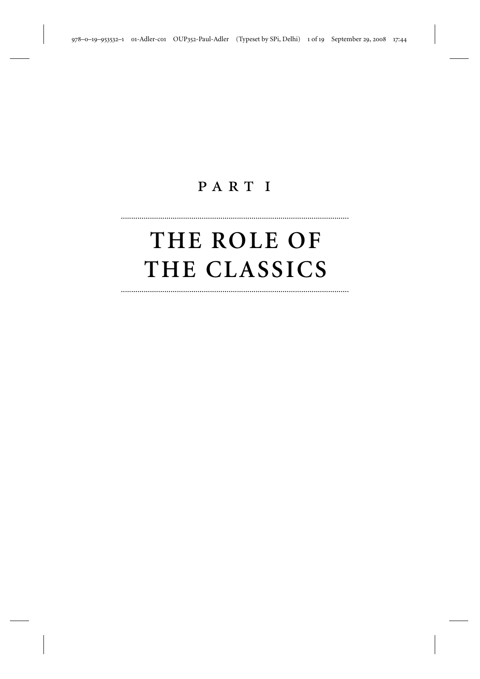## PART I

..............................................................................................................

# **THE ROLE OF THE CLASSICS**

..............................................................................................................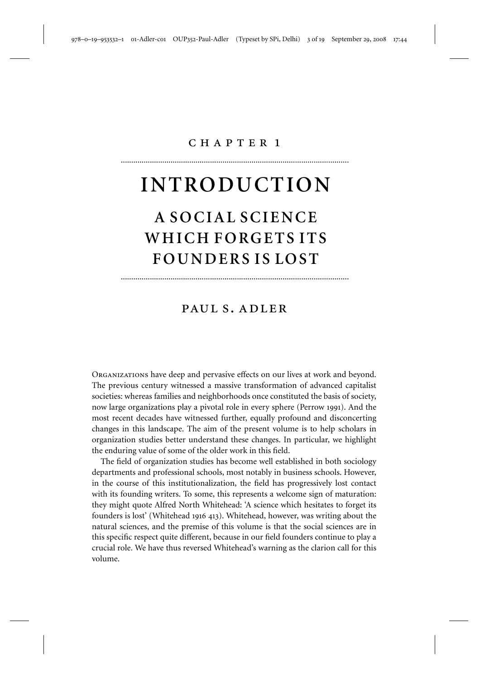### chapter 1

..............................................................................................................

# **INTRODUCTION**

# **A SOCIAL SCIENCE WHICH FORGETS ITS FOUNDERS IS LOST**

### paul s. adler

..............................................................................................................

Organizations have deep and pervasive effects on our lives at work and beyond. The previous century witnessed a massive transformation of advanced capitalist societies: whereas families and neighborhoods once constituted the basis of society, now large organizations play a pivotal role in every sphere (Perrow 1991). And the most recent decades have witnessed further, equally profound and disconcerting changes in this landscape. The aim of the present volume is to help scholars in organization studies better understand these changes. In particular, we highlight the enduring value of some of the older work in this field.

The field of organization studies has become well established in both sociology departments and professional schools, most notably in business schools. However, in the course of this institutionalization, the field has progressively lost contact with its founding writers. To some, this represents a welcome sign of maturation: they might quote Alfred North Whitehead: 'A science which hesitates to forget its founders is lost' (Whitehead 1916 413). Whitehead, however, was writing about the natural sciences, and the premise of this volume is that the social sciences are in this specific respect quite different, because in our field founders continue to play a crucial role. We have thus reversed Whitehead's warning as the clarion call for this volume.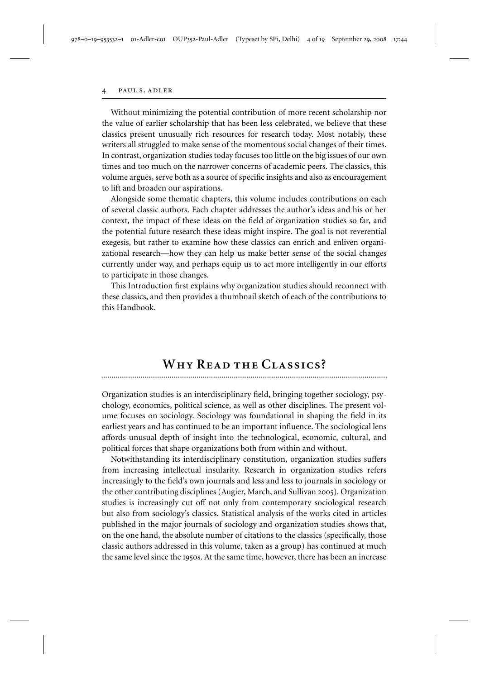#### PAUL S. ADLER

Without minimizing the potential contribution of more recent scholarship nor the value of earlier scholarship that has been less celebrated, we believe that these classics present unusually rich resources for research today. Most notably, these writers all struggled to make sense of the momentous social changes of their times. In contrast, organization studies today focuses too little on the big issues of our own times and too much on the narrower concerns of academic peers. The classics, this volume argues, serve both as a source of specific insights and also as encouragement to lift and broaden our aspirations.

Alongside some thematic chapters, this volume includes contributions on each of several classic authors. Each chapter addresses the author's ideas and his or her context, the impact of these ideas on the field of organization studies so far, and the potential future research these ideas might inspire. The goal is not reverential exegesis, but rather to examine how these classics can enrich and enliven organizational research—how they can help us make better sense of the social changes currently under way, and perhaps equip us to act more intelligently in our efforts to participate in those changes.

This Introduction first explains why organization studies should reconnect with these classics, and then provides a thumbnail sketch of each of the contributions to this Handbook.

### WHY READ THE CLASSICS?

Organization studies is an interdisciplinary field, bringing together sociology, psychology, economics, political science, as well as other disciplines. The present volume focuses on sociology. Sociology was foundational in shaping the field in its earliest years and has continued to be an important influence. The sociological lens affords unusual depth of insight into the technological, economic, cultural, and political forces that shape organizations both from within and without.

Notwithstanding its interdisciplinary constitution, organization studies suffers from increasing intellectual insularity. Research in organization studies refers increasingly to the field's own journals and less and less to journals in sociology or the other contributing disciplines (Augier, March, and Sullivan 2005). Organization studies is increasingly cut off not only from contemporary sociological research but also from sociology's classics. Statistical analysis of the works cited in articles published in the major journals of sociology and organization studies shows that, on the one hand, the absolute number of citations to the classics (specifically, those classic authors addressed in this volume, taken as a group) has continued at much the same level since the 1950s. At the same time, however, there has been an increase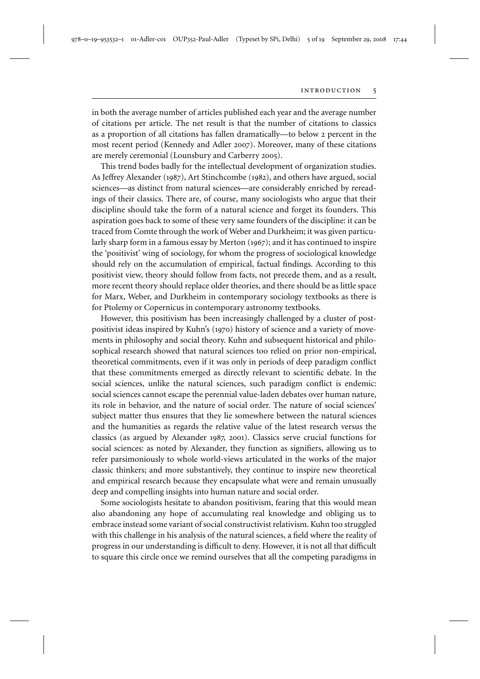in both the average number of articles published each year and the average number of citations per article. The net result is that the number of citations to classics as a proportion of all citations has fallen dramatically—to below 2 percent in the most recent period (Kennedy and Adler 2007). Moreover, many of these citations are merely ceremonial (Lounsbury and Carberry 2005).

This trend bodes badly for the intellectual development of organization studies. As Jeffrey Alexander (1987), Art Stinchcombe (1982), and others have argued, social sciences—as distinct from natural sciences—are considerably enriched by rereadings of their classics. There are, of course, many sociologists who argue that their discipline should take the form of a natural science and forget its founders. This aspiration goes back to some of these very same founders of the discipline: it can be traced from Comte through the work of Weber and Durkheim; it was given particularly sharp form in a famous essay by Merton (1967); and it has continued to inspire the 'positivist' wing of sociology, for whom the progress of sociological knowledge should rely on the accumulation of empirical, factual findings. According to this positivist view, theory should follow from facts, not precede them, and as a result, more recent theory should replace older theories, and there should be as little space for Marx, Weber, and Durkheim in contemporary sociology textbooks as there is for Ptolemy or Copernicus in contemporary astronomy textbooks.

However, this positivism has been increasingly challenged by a cluster of postpositivist ideas inspired by Kuhn's (1970) history of science and a variety of movements in philosophy and social theory. Kuhn and subsequent historical and philosophical research showed that natural sciences too relied on prior non-empirical, theoretical commitments, even if it was only in periods of deep paradigm conflict that these commitments emerged as directly relevant to scientific debate. In the social sciences, unlike the natural sciences, such paradigm conflict is endemic: social sciences cannot escape the perennial value-laden debates over human nature, its role in behavior, and the nature of social order. The nature of social sciences' subject matter thus ensures that they lie somewhere between the natural sciences and the humanities as regards the relative value of the latest research versus the classics (as argued by Alexander 1987, 2001). Classics serve crucial functions for social sciences: as noted by Alexander, they function as signifiers, allowing us to refer parsimoniously to whole world-views articulated in the works of the major classic thinkers; and more substantively, they continue to inspire new theoretical and empirical research because they encapsulate what were and remain unusually deep and compelling insights into human nature and social order.

Some sociologists hesitate to abandon positivism, fearing that this would mean also abandoning any hope of accumulating real knowledge and obliging us to embrace instead some variant of social constructivist relativism. Kuhn too struggled with this challenge in his analysis of the natural sciences, a field where the reality of progress in our understanding is difficult to deny. However, it is not all that difficult to square this circle once we remind ourselves that all the competing paradigms in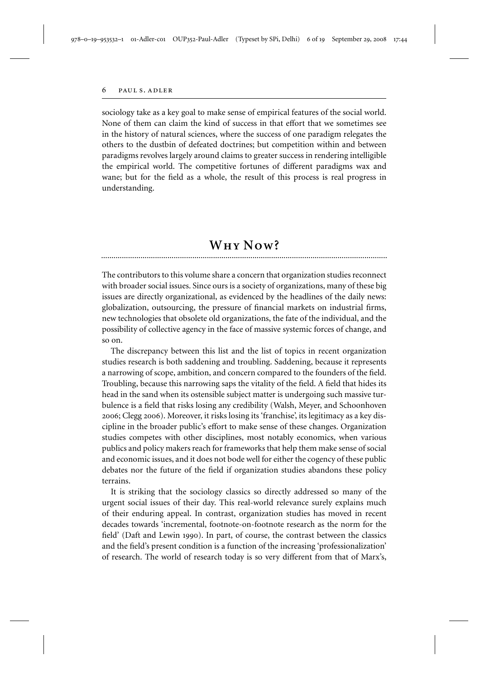sociology take as a key goal to make sense of empirical features of the social world. None of them can claim the kind of success in that effort that we sometimes see in the history of natural sciences, where the success of one paradigm relegates the others to the dustbin of defeated doctrines; but competition within and between paradigms revolves largely around claims to greater success in rendering intelligible the empirical world. The competitive fortunes of different paradigms wax and wane; but for the field as a whole, the result of this process is real progress in understanding.

# **<sup>W</sup>hy <sup>N</sup>ow?** ..........................................................................................................................................

The contributors to this volume share a concern that organization studies reconnect with broader social issues. Since ours is a society of organizations, many of these big issues are directly organizational, as evidenced by the headlines of the daily news: globalization, outsourcing, the pressure of financial markets on industrial firms, new technologies that obsolete old organizations, the fate of the individual, and the possibility of collective agency in the face of massive systemic forces of change, and so on.

The discrepancy between this list and the list of topics in recent organization studies research is both saddening and troubling. Saddening, because it represents a narrowing of scope, ambition, and concern compared to the founders of the field. Troubling, because this narrowing saps the vitality of the field. A field that hides its head in the sand when its ostensible subject matter is undergoing such massive turbulence is a field that risks losing any credibility (Walsh, Meyer, and Schoonhoven 2006; Clegg 2006). Moreover, it risks losing its 'franchise', its legitimacy as a key discipline in the broader public's effort to make sense of these changes. Organization studies competes with other disciplines, most notably economics, when various publics and policy makers reach for frameworks that help them make sense of social and economic issues, and it does not bode well for either the cogency of these public debates nor the future of the field if organization studies abandons these policy terrains.

It is striking that the sociology classics so directly addressed so many of the urgent social issues of their day. This real-world relevance surely explains much of their enduring appeal. In contrast, organization studies has moved in recent decades towards 'incremental, footnote-on-footnote research as the norm for the field' (Daft and Lewin 1990). In part, of course, the contrast between the classics and the field's present condition is a function of the increasing 'professionalization' of research. The world of research today is so very different from that of Marx's,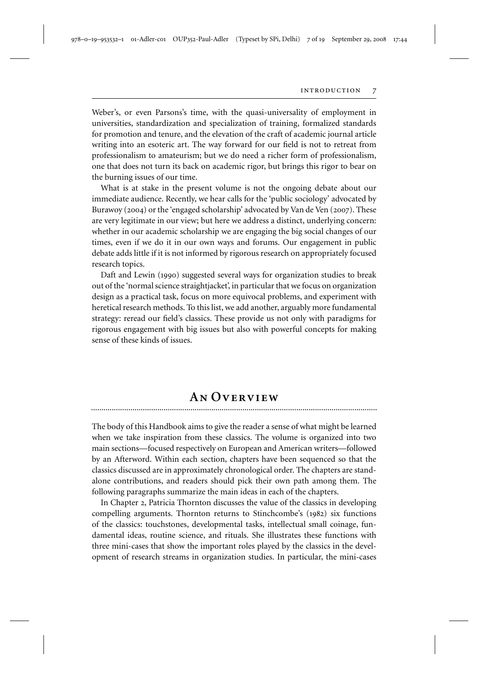Weber's, or even Parsons's time, with the quasi-universality of employment in universities, standardization and specialization of training, formalized standards for promotion and tenure, and the elevation of the craft of academic journal article writing into an esoteric art. The way forward for our field is not to retreat from professionalism to amateurism; but we do need a richer form of professionalism, one that does not turn its back on academic rigor, but brings this rigor to bear on the burning issues of our time.

What is at stake in the present volume is not the ongoing debate about our immediate audience. Recently, we hear calls for the 'public sociology' advocated by Burawoy (2004) or the 'engaged scholarship' advocated by Van de Ven (2007). These are very legitimate in our view; but here we address a distinct, underlying concern: whether in our academic scholarship we are engaging the big social changes of our times, even if we do it in our own ways and forums. Our engagement in public debate adds little if it is not informed by rigorous research on appropriately focused research topics.

Daft and Lewin (1990) suggested several ways for organization studies to break out of the 'normal science straightjacket', in particular that we focus on organization design as a practical task, focus on more equivocal problems, and experiment with heretical research methods. To this list, we add another, arguably more fundamental strategy: reread our field's classics. These provide us not only with paradigms for rigorous engagement with big issues but also with powerful concepts for making sense of these kinds of issues.

## **AN** OVERVIEW

The body of this Handbook aims to give the reader a sense of what might be learned when we take inspiration from these classics. The volume is organized into two main sections—focused respectively on European and American writers—followed by an Afterword. Within each section, chapters have been sequenced so that the

classics discussed are in approximately chronological order. The chapters are standalone contributions, and readers should pick their own path among them. The following paragraphs summarize the main ideas in each of the chapters.

In Chapter 2, Patricia Thornton discusses the value of the classics in developing compelling arguments. Thornton returns to Stinchcombe's (1982) six functions of the classics: touchstones, developmental tasks, intellectual small coinage, fundamental ideas, routine science, and rituals. She illustrates these functions with three mini-cases that show the important roles played by the classics in the development of research streams in organization studies. In particular, the mini-cases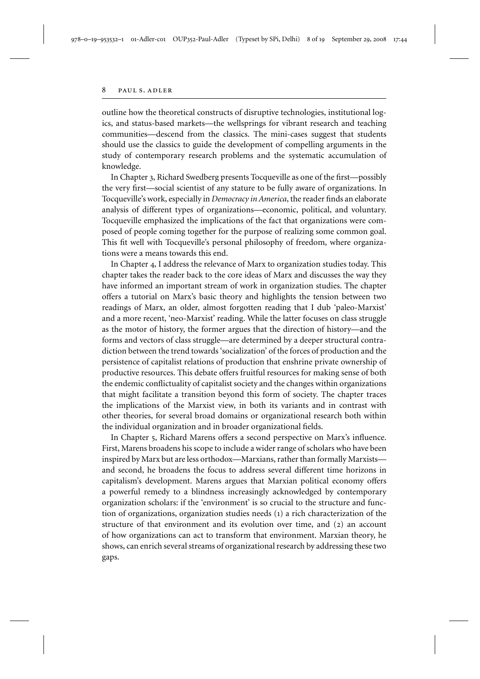outline how the theoretical constructs of disruptive technologies, institutional logics, and status-based markets—the wellsprings for vibrant research and teaching communities—descend from the classics. The mini-cases suggest that students should use the classics to guide the development of compelling arguments in the study of contemporary research problems and the systematic accumulation of knowledge.

In Chapter 3, Richard Swedberg presents Tocqueville as one of the first—possibly the very first—social scientist of any stature to be fully aware of organizations. In Tocqueville's work, especially in *Democracy in America*, the reader finds an elaborate analysis of different types of organizations—economic, political, and voluntary. Tocqueville emphasized the implications of the fact that organizations were composed of people coming together for the purpose of realizing some common goal. This fit well with Tocqueville's personal philosophy of freedom, where organizations were a means towards this end.

In Chapter 4, I address the relevance of Marx to organization studies today. This chapter takes the reader back to the core ideas of Marx and discusses the way they have informed an important stream of work in organization studies. The chapter offers a tutorial on Marx's basic theory and highlights the tension between two readings of Marx, an older, almost forgotten reading that I dub 'paleo-Marxist' and a more recent, 'neo-Marxist' reading. While the latter focuses on class struggle as the motor of history, the former argues that the direction of history—and the forms and vectors of class struggle—are determined by a deeper structural contradiction between the trend towards 'socialization' of the forces of production and the persistence of capitalist relations of production that enshrine private ownership of productive resources. This debate offers fruitful resources for making sense of both the endemic conflictuality of capitalist society and the changes within organizations that might facilitate a transition beyond this form of society. The chapter traces the implications of the Marxist view, in both its variants and in contrast with other theories, for several broad domains or organizational research both within the individual organization and in broader organizational fields.

In Chapter 5, Richard Marens offers a second perspective on Marx's influence. First, Marens broadens his scope to include a wider range of scholars who have been inspired by Marx but are less orthodox—Marxians, rather than formally Marxists and second, he broadens the focus to address several different time horizons in capitalism's development. Marens argues that Marxian political economy offers a powerful remedy to a blindness increasingly acknowledged by contemporary organization scholars: if the 'environment' is so crucial to the structure and function of organizations, organization studies needs (1) a rich characterization of the structure of that environment and its evolution over time, and (2) an account of how organizations can act to transform that environment. Marxian theory, he shows, can enrich several streams of organizational research by addressing these two gaps.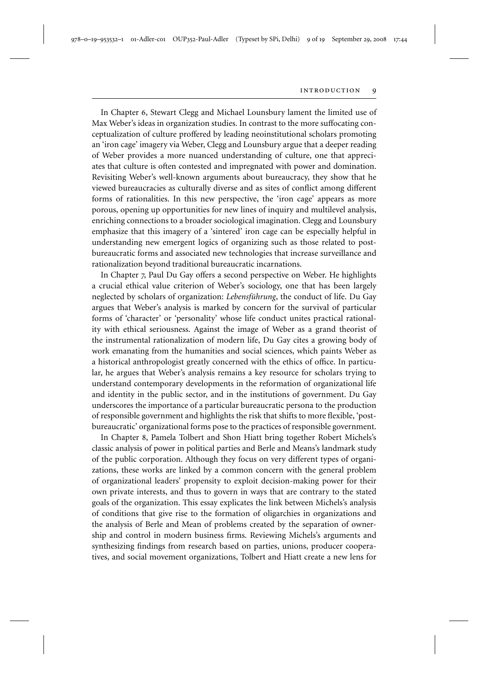In Chapter 6, Stewart Clegg and Michael Lounsbury lament the limited use of Max Weber's ideas in organization studies. In contrast to the more suffocating conceptualization of culture proffered by leading neoinstitutional scholars promoting an 'iron cage' imagery via Weber, Clegg and Lounsbury argue that a deeper reading of Weber provides a more nuanced understanding of culture, one that appreciates that culture is often contested and impregnated with power and domination. Revisiting Weber's well-known arguments about bureaucracy, they show that he viewed bureaucracies as culturally diverse and as sites of conflict among different forms of rationalities. In this new perspective, the 'iron cage' appears as more porous, opening up opportunities for new lines of inquiry and multilevel analysis, enriching connections to a broader sociological imagination. Clegg and Lounsbury emphasize that this imagery of a 'sintered' iron cage can be especially helpful in understanding new emergent logics of organizing such as those related to postbureaucratic forms and associated new technologies that increase surveillance and rationalization beyond traditional bureaucratic incarnations.

In Chapter 7, Paul Du Gay offers a second perspective on Weber. He highlights a crucial ethical value criterion of Weber's sociology, one that has been largely neglected by scholars of organization: *Lebensführung*, the conduct of life. Du Gay argues that Weber's analysis is marked by concern for the survival of particular forms of 'character' or 'personality' whose life conduct unites practical rationality with ethical seriousness. Against the image of Weber as a grand theorist of the instrumental rationalization of modern life, Du Gay cites a growing body of work emanating from the humanities and social sciences, which paints Weber as a historical anthropologist greatly concerned with the ethics of office. In particular, he argues that Weber's analysis remains a key resource for scholars trying to understand contemporary developments in the reformation of organizational life and identity in the public sector, and in the institutions of government. Du Gay underscores the importance of a particular bureaucratic persona to the production of responsible government and highlights the risk that shifts to more flexible, 'postbureaucratic' organizational forms pose to the practices of responsible government.

In Chapter 8, Pamela Tolbert and Shon Hiatt bring together Robert Michels's classic analysis of power in political parties and Berle and Means's landmark study of the public corporation. Although they focus on very different types of organizations, these works are linked by a common concern with the general problem of organizational leaders' propensity to exploit decision-making power for their own private interests, and thus to govern in ways that are contrary to the stated goals of the organization. This essay explicates the link between Michels's analysis of conditions that give rise to the formation of oligarchies in organizations and the analysis of Berle and Mean of problems created by the separation of ownership and control in modern business firms. Reviewing Michels's arguments and synthesizing findings from research based on parties, unions, producer cooperatives, and social movement organizations, Tolbert and Hiatt create a new lens for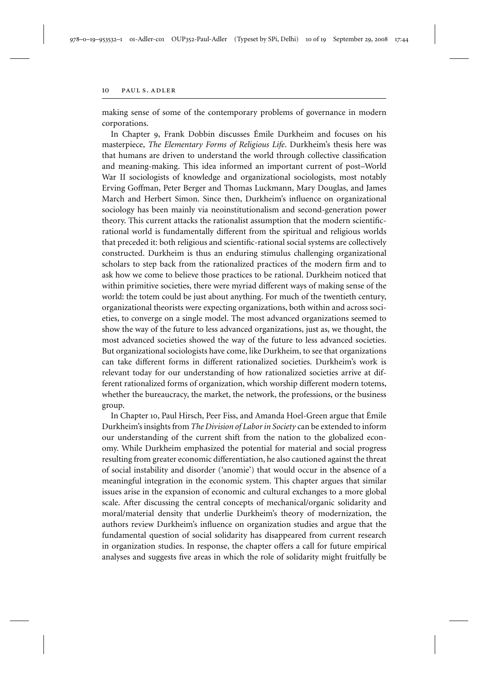#### 10 PAUL S. ADLER

making sense of some of the contemporary problems of governance in modern corporations.

In Chapter 9, Frank Dobbin discusses Émile Durkheim and focuses on his masterpiece, *The Elementary Forms of Religious Life*. Durkheim's thesis here was that humans are driven to understand the world through collective classification and meaning-making. This idea informed an important current of post–World War II sociologists of knowledge and organizational sociologists, most notably Erving Goffman, Peter Berger and Thomas Luckmann, Mary Douglas, and James March and Herbert Simon. Since then, Durkheim's influence on organizational sociology has been mainly via neoinstitutionalism and second-generation power theory. This current attacks the rationalist assumption that the modern scientificrational world is fundamentally different from the spiritual and religious worlds that preceded it: both religious and scientific-rational social systems are collectively constructed. Durkheim is thus an enduring stimulus challenging organizational scholars to step back from the rationalized practices of the modern firm and to ask how we come to believe those practices to be rational. Durkheim noticed that within primitive societies, there were myriad different ways of making sense of the world: the totem could be just about anything. For much of the twentieth century, organizational theorists were expecting organizations, both within and across societies, to converge on a single model. The most advanced organizations seemed to show the way of the future to less advanced organizations, just as, we thought, the most advanced societies showed the way of the future to less advanced societies. But organizational sociologists have come, like Durkheim, to see that organizations can take different forms in different rationalized societies. Durkheim's work is relevant today for our understanding of how rationalized societies arrive at different rationalized forms of organization, which worship different modern totems, whether the bureaucracy, the market, the network, the professions, or the business group.

In Chapter 10, Paul Hirsch, Peer Fiss, and Amanda Hoel-Green argue that Émile Durkheim's insights from *The Division of Labor in Society* can be extended to inform our understanding of the current shift from the nation to the globalized economy. While Durkheim emphasized the potential for material and social progress resulting from greater economic differentiation, he also cautioned against the threat of social instability and disorder ('anomie') that would occur in the absence of a meaningful integration in the economic system. This chapter argues that similar issues arise in the expansion of economic and cultural exchanges to a more global scale. After discussing the central concepts of mechanical/organic solidarity and moral/material density that underlie Durkheim's theory of modernization, the authors review Durkheim's influence on organization studies and argue that the fundamental question of social solidarity has disappeared from current research in organization studies. In response, the chapter offers a call for future empirical analyses and suggests five areas in which the role of solidarity might fruitfully be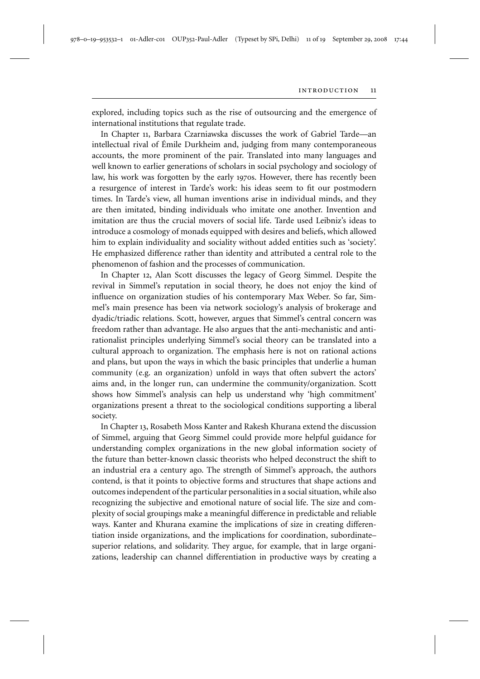978–0–19–953532–1 01-Adler-c01 OUP352-Paul-Adler (Typeset by SPi, Delhi) 11 of 19 September 29, 2008 17:44

explored, including topics such as the rise of outsourcing and the emergence of international institutions that regulate trade.

In Chapter 11, Barbara Czarniawska discusses the work of Gabriel Tarde—an intellectual rival of Émile Durkheim and, judging from many contemporaneous accounts, the more prominent of the pair. Translated into many languages and well known to earlier generations of scholars in social psychology and sociology of law, his work was forgotten by the early 1970s. However, there has recently been a resurgence of interest in Tarde's work: his ideas seem to fit our postmodern times. In Tarde's view, all human inventions arise in individual minds, and they are then imitated, binding individuals who imitate one another. Invention and imitation are thus the crucial movers of social life. Tarde used Leibniz's ideas to introduce a cosmology of monads equipped with desires and beliefs, which allowed him to explain individuality and sociality without added entities such as 'society'. He emphasized difference rather than identity and attributed a central role to the phenomenon of fashion and the processes of communication.

In Chapter 12, Alan Scott discusses the legacy of Georg Simmel. Despite the revival in Simmel's reputation in social theory, he does not enjoy the kind of influence on organization studies of his contemporary Max Weber. So far, Simmel's main presence has been via network sociology's analysis of brokerage and dyadic/triadic relations. Scott, however, argues that Simmel's central concern was freedom rather than advantage. He also argues that the anti-mechanistic and antirationalist principles underlying Simmel's social theory can be translated into a cultural approach to organization. The emphasis here is not on rational actions and plans, but upon the ways in which the basic principles that underlie a human community (e.g. an organization) unfold in ways that often subvert the actors' aims and, in the longer run, can undermine the community/organization. Scott shows how Simmel's analysis can help us understand why 'high commitment' organizations present a threat to the sociological conditions supporting a liberal society.

In Chapter 13, Rosabeth Moss Kanter and Rakesh Khurana extend the discussion of Simmel, arguing that Georg Simmel could provide more helpful guidance for understanding complex organizations in the new global information society of the future than better-known classic theorists who helped deconstruct the shift to an industrial era a century ago. The strength of Simmel's approach, the authors contend, is that it points to objective forms and structures that shape actions and outcomes independent of the particular personalities in a social situation, while also recognizing the subjective and emotional nature of social life. The size and complexity of social groupings make a meaningful difference in predictable and reliable ways. Kanter and Khurana examine the implications of size in creating differentiation inside organizations, and the implications for coordination, subordinate– superior relations, and solidarity. They argue, for example, that in large organizations, leadership can channel differentiation in productive ways by creating a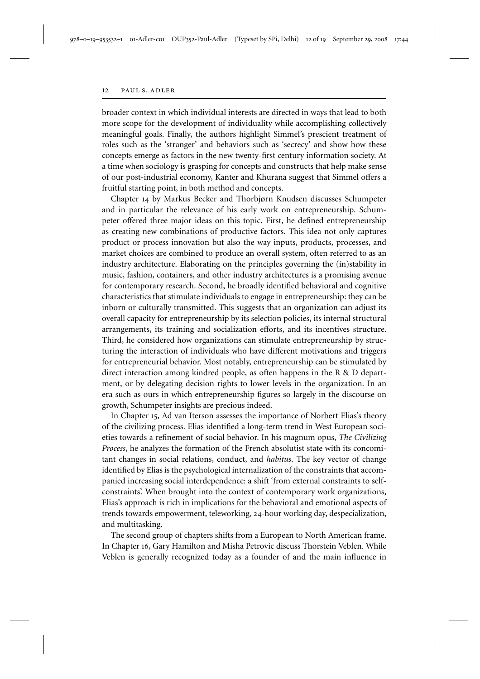broader context in which individual interests are directed in ways that lead to both more scope for the development of individuality while accomplishing collectively meaningful goals. Finally, the authors highlight Simmel's prescient treatment of roles such as the 'stranger' and behaviors such as 'secrecy' and show how these concepts emerge as factors in the new twenty-first century information society. At a time when sociology is grasping for concepts and constructs that help make sense of our post-industrial economy, Kanter and Khurana suggest that Simmel offers a fruitful starting point, in both method and concepts.

Chapter 14 by Markus Becker and Thorbjørn Knudsen discusses Schumpeter and in particular the relevance of his early work on entrepreneurship. Schumpeter offered three major ideas on this topic. First, he defined entrepreneurship as creating new combinations of productive factors. This idea not only captures product or process innovation but also the way inputs, products, processes, and market choices are combined to produce an overall system, often referred to as an industry architecture. Elaborating on the principles governing the (in)stability in music, fashion, containers, and other industry architectures is a promising avenue for contemporary research. Second, he broadly identified behavioral and cognitive characteristics that stimulate individuals to engage in entrepreneurship: they can be inborn or culturally transmitted. This suggests that an organization can adjust its overall capacity for entrepreneurship by its selection policies, its internal structural arrangements, its training and socialization efforts, and its incentives structure. Third, he considered how organizations can stimulate entrepreneurship by structuring the interaction of individuals who have different motivations and triggers for entrepreneurial behavior. Most notably, entrepreneurship can be stimulated by direct interaction among kindred people, as often happens in the R & D department, or by delegating decision rights to lower levels in the organization. In an era such as ours in which entrepreneurship figures so largely in the discourse on growth, Schumpeter insights are precious indeed.

In Chapter 15, Ad van Iterson assesses the importance of Norbert Elias's theory of the civilizing process. Elias identified a long-term trend in West European societies towards a refinement of social behavior. In his magnum opus, *The Civilizing Process*, he analyzes the formation of the French absolutist state with its concomitant changes in social relations, conduct, and *habitus*. The key vector of change identified by Elias is the psychological internalization of the constraints that accompanied increasing social interdependence: a shift 'from external constraints to selfconstraints'. When brought into the context of contemporary work organizations, Elias's approach is rich in implications for the behavioral and emotional aspects of trends towards empowerment, teleworking, 24-hour working day, despecialization, and multitasking.

The second group of chapters shifts from a European to North American frame. In Chapter 16, Gary Hamilton and Misha Petrovic discuss Thorstein Veblen. While Veblen is generally recognized today as a founder of and the main influence in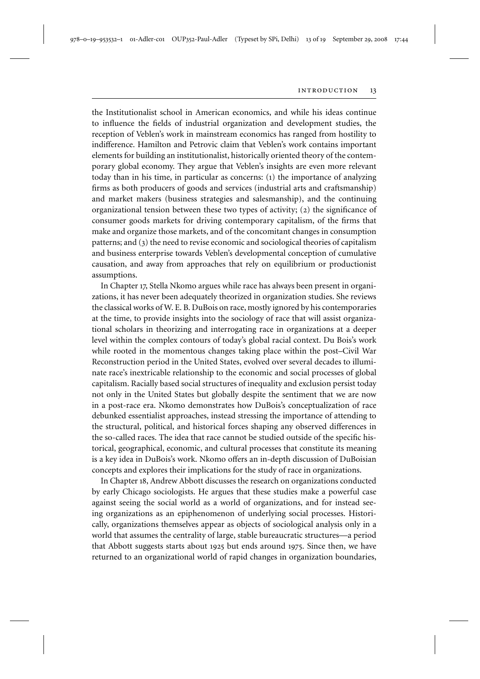the Institutionalist school in American economics, and while his ideas continue to influence the fields of industrial organization and development studies, the reception of Veblen's work in mainstream economics has ranged from hostility to indifference. Hamilton and Petrovic claim that Veblen's work contains important elements for building an institutionalist, historically oriented theory of the contemporary global economy. They argue that Veblen's insights are even more relevant today than in his time, in particular as concerns: (1) the importance of analyzing firms as both producers of goods and services (industrial arts and craftsmanship) and market makers (business strategies and salesmanship), and the continuing organizational tension between these two types of activity; (2) the significance of consumer goods markets for driving contemporary capitalism, of the firms that make and organize those markets, and of the concomitant changes in consumption patterns; and (3) the need to revise economic and sociological theories of capitalism and business enterprise towards Veblen's developmental conception of cumulative causation, and away from approaches that rely on equilibrium or productionist assumptions.

In Chapter 17, Stella Nkomo argues while race has always been present in organizations, it has never been adequately theorized in organization studies. She reviews the classical works of W. E. B. DuBois on race, mostly ignored by his contemporaries at the time, to provide insights into the sociology of race that will assist organizational scholars in theorizing and interrogating race in organizations at a deeper level within the complex contours of today's global racial context. Du Bois's work while rooted in the momentous changes taking place within the post–Civil War Reconstruction period in the United States, evolved over several decades to illuminate race's inextricable relationship to the economic and social processes of global capitalism. Racially based social structures of inequality and exclusion persist today not only in the United States but globally despite the sentiment that we are now in a post-race era. Nkomo demonstrates how DuBois's conceptualization of race debunked essentialist approaches, instead stressing the importance of attending to the structural, political, and historical forces shaping any observed differences in the so-called races. The idea that race cannot be studied outside of the specific historical, geographical, economic, and cultural processes that constitute its meaning is a key idea in DuBois's work. Nkomo offers an in-depth discussion of DuBoisian concepts and explores their implications for the study of race in organizations.

In Chapter 18, Andrew Abbott discusses the research on organizations conducted by early Chicago sociologists. He argues that these studies make a powerful case against seeing the social world as a world of organizations, and for instead seeing organizations as an epiphenomenon of underlying social processes. Historically, organizations themselves appear as objects of sociological analysis only in a world that assumes the centrality of large, stable bureaucratic structures—a period that Abbott suggests starts about 1925 but ends around 1975. Since then, we have returned to an organizational world of rapid changes in organization boundaries,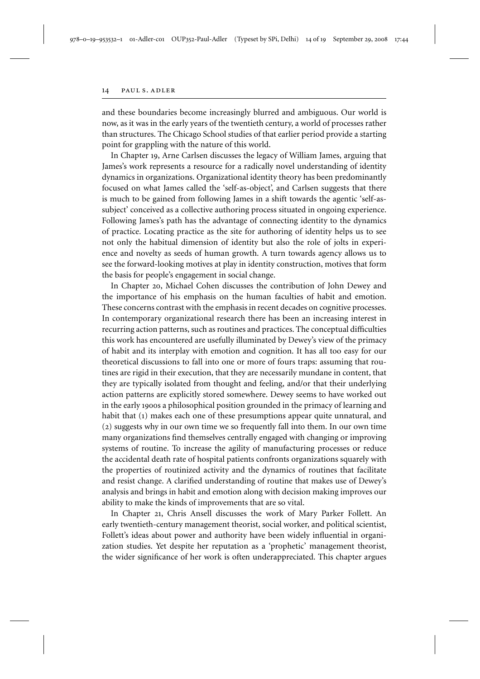#### 14 PAUL S. ADLER

and these boundaries become increasingly blurred and ambiguous. Our world is now, as it was in the early years of the twentieth century, a world of processes rather than structures. The Chicago School studies of that earlier period provide a starting point for grappling with the nature of this world.

In Chapter 19, Arne Carlsen discusses the legacy of William James, arguing that James's work represents a resource for a radically novel understanding of identity dynamics in organizations. Organizational identity theory has been predominantly focused on what James called the 'self-as-object', and Carlsen suggests that there is much to be gained from following James in a shift towards the agentic 'self-assubject' conceived as a collective authoring process situated in ongoing experience. Following James's path has the advantage of connecting identity to the dynamics of practice. Locating practice as the site for authoring of identity helps us to see not only the habitual dimension of identity but also the role of jolts in experience and novelty as seeds of human growth. A turn towards agency allows us to see the forward-looking motives at play in identity construction, motives that form the basis for people's engagement in social change.

In Chapter 20, Michael Cohen discusses the contribution of John Dewey and the importance of his emphasis on the human faculties of habit and emotion. These concerns contrast with the emphasis in recent decades on cognitive processes. In contemporary organizational research there has been an increasing interest in recurring action patterns, such as routines and practices. The conceptual difficulties this work has encountered are usefully illuminated by Dewey's view of the primacy of habit and its interplay with emotion and cognition. It has all too easy for our theoretical discussions to fall into one or more of fours traps: assuming that routines are rigid in their execution, that they are necessarily mundane in content, that they are typically isolated from thought and feeling, and/or that their underlying action patterns are explicitly stored somewhere. Dewey seems to have worked out in the early 1900s a philosophical position grounded in the primacy of learning and habit that (1) makes each one of these presumptions appear quite unnatural, and (2) suggests why in our own time we so frequently fall into them. In our own time many organizations find themselves centrally engaged with changing or improving systems of routine. To increase the agility of manufacturing processes or reduce the accidental death rate of hospital patients confronts organizations squarely with the properties of routinized activity and the dynamics of routines that facilitate and resist change. A clarified understanding of routine that makes use of Dewey's analysis and brings in habit and emotion along with decision making improves our ability to make the kinds of improvements that are so vital.

In Chapter 21, Chris Ansell discusses the work of Mary Parker Follett. An early twentieth-century management theorist, social worker, and political scientist, Follett's ideas about power and authority have been widely influential in organization studies. Yet despite her reputation as a 'prophetic' management theorist, the wider significance of her work is often underappreciated. This chapter argues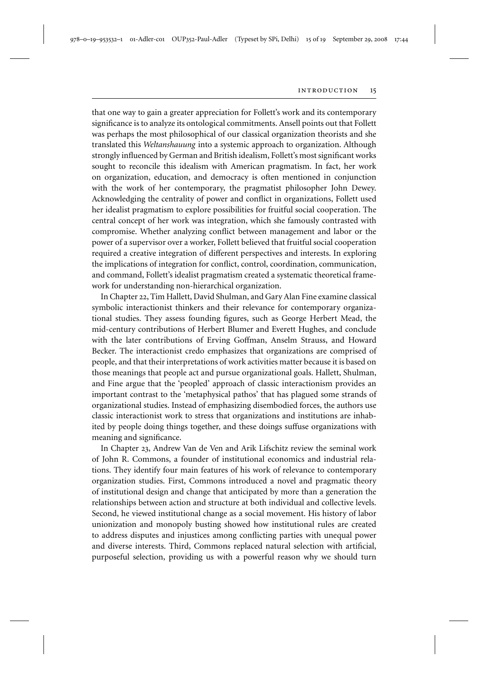that one way to gain a greater appreciation for Follett's work and its contemporary significance is to analyze its ontological commitments. Ansell points out that Follett was perhaps the most philosophical of our classical organization theorists and she translated this *Weltanshauung* into a systemic approach to organization. Although strongly influenced by German and British idealism, Follett's most significant works sought to reconcile this idealism with American pragmatism. In fact, her work on organization, education, and democracy is often mentioned in conjunction with the work of her contemporary, the pragmatist philosopher John Dewey. Acknowledging the centrality of power and conflict in organizations, Follett used her idealist pragmatism to explore possibilities for fruitful social cooperation. The central concept of her work was integration, which she famously contrasted with compromise. Whether analyzing conflict between management and labor or the power of a supervisor over a worker, Follett believed that fruitful social cooperation required a creative integration of different perspectives and interests. In exploring the implications of integration for conflict, control, coordination, communication, and command, Follett's idealist pragmatism created a systematic theoretical framework for understanding non-hierarchical organization.

In Chapter 22, Tim Hallett, David Shulman, and Gary Alan Fine examine classical symbolic interactionist thinkers and their relevance for contemporary organizational studies. They assess founding figures, such as George Herbert Mead, the mid-century contributions of Herbert Blumer and Everett Hughes, and conclude with the later contributions of Erving Goffman, Anselm Strauss, and Howard Becker. The interactionist credo emphasizes that organizations are comprised of people, and that their interpretations of work activities matter because it is based on those meanings that people act and pursue organizational goals. Hallett, Shulman, and Fine argue that the 'peopled' approach of classic interactionism provides an important contrast to the 'metaphysical pathos' that has plagued some strands of organizational studies. Instead of emphasizing disembodied forces, the authors use classic interactionist work to stress that organizations and institutions are inhabited by people doing things together, and these doings suffuse organizations with meaning and significance.

In Chapter 23, Andrew Van de Ven and Arik Lifschitz review the seminal work of John R. Commons, a founder of institutional economics and industrial relations. They identify four main features of his work of relevance to contemporary organization studies. First, Commons introduced a novel and pragmatic theory of institutional design and change that anticipated by more than a generation the relationships between action and structure at both individual and collective levels. Second, he viewed institutional change as a social movement. His history of labor unionization and monopoly busting showed how institutional rules are created to address disputes and injustices among conflicting parties with unequal power and diverse interests. Third, Commons replaced natural selection with artificial, purposeful selection, providing us with a powerful reason why we should turn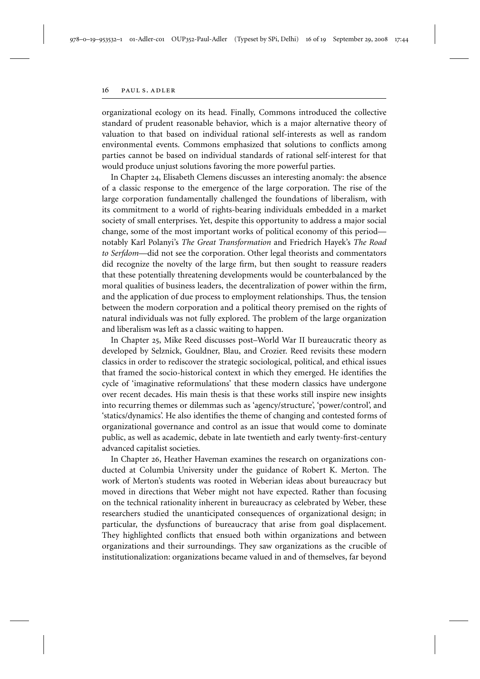organizational ecology on its head. Finally, Commons introduced the collective standard of prudent reasonable behavior, which is a major alternative theory of valuation to that based on individual rational self-interests as well as random environmental events. Commons emphasized that solutions to conflicts among parties cannot be based on individual standards of rational self-interest for that would produce unjust solutions favoring the more powerful parties.

In Chapter 24, Elisabeth Clemens discusses an interesting anomaly: the absence of a classic response to the emergence of the large corporation. The rise of the large corporation fundamentally challenged the foundations of liberalism, with its commitment to a world of rights-bearing individuals embedded in a market society of small enterprises. Yet, despite this opportunity to address a major social change, some of the most important works of political economy of this period notably Karl Polanyi's *The Great Transformation* and Friedrich Hayek's *The Road to Serfdom*—did not see the corporation. Other legal theorists and commentators did recognize the novelty of the large firm, but then sought to reassure readers that these potentially threatening developments would be counterbalanced by the moral qualities of business leaders, the decentralization of power within the firm, and the application of due process to employment relationships. Thus, the tension between the modern corporation and a political theory premised on the rights of natural individuals was not fully explored. The problem of the large organization and liberalism was left as a classic waiting to happen.

In Chapter 25, Mike Reed discusses post–World War II bureaucratic theory as developed by Selznick, Gouldner, Blau, and Crozier. Reed revisits these modern classics in order to rediscover the strategic sociological, political, and ethical issues that framed the socio-historical context in which they emerged. He identifies the cycle of 'imaginative reformulations' that these modern classics have undergone over recent decades. His main thesis is that these works still inspire new insights into recurring themes or dilemmas such as 'agency/structure', 'power/control', and 'statics/dynamics'. He also identifies the theme of changing and contested forms of organizational governance and control as an issue that would come to dominate public, as well as academic, debate in late twentieth and early twenty-first-century advanced capitalist societies.

In Chapter 26, Heather Haveman examines the research on organizations conducted at Columbia University under the guidance of Robert K. Merton. The work of Merton's students was rooted in Weberian ideas about bureaucracy but moved in directions that Weber might not have expected. Rather than focusing on the technical rationality inherent in bureaucracy as celebrated by Weber, these researchers studied the unanticipated consequences of organizational design; in particular, the dysfunctions of bureaucracy that arise from goal displacement. They highlighted conflicts that ensued both within organizations and between organizations and their surroundings. They saw organizations as the crucible of institutionalization: organizations became valued in and of themselves, far beyond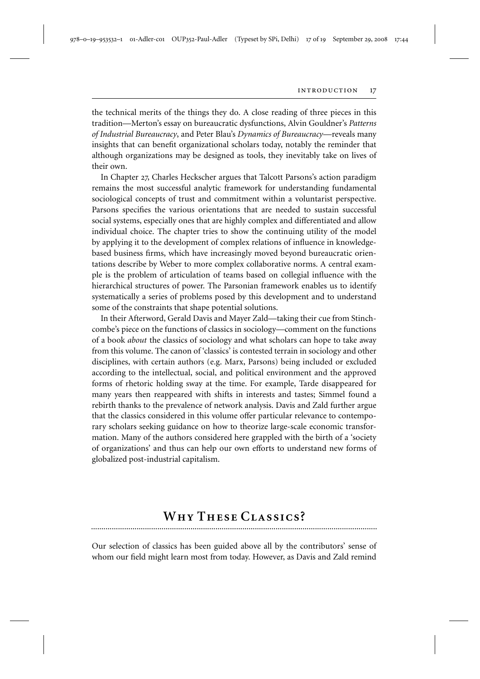the technical merits of the things they do. A close reading of three pieces in this tradition—Merton's essay on bureaucratic dysfunctions, Alvin Gouldner's *Patterns of Industrial Bureaucracy*, and Peter Blau's *Dynamics of Bureaucracy*—reveals many insights that can benefit organizational scholars today, notably the reminder that although organizations may be designed as tools, they inevitably take on lives of their own.

In Chapter 27, Charles Heckscher argues that Talcott Parsons's action paradigm remains the most successful analytic framework for understanding fundamental sociological concepts of trust and commitment within a voluntarist perspective. Parsons specifies the various orientations that are needed to sustain successful social systems, especially ones that are highly complex and differentiated and allow individual choice. The chapter tries to show the continuing utility of the model by applying it to the development of complex relations of influence in knowledgebased business firms, which have increasingly moved beyond bureaucratic orientations describe by Weber to more complex collaborative norms. A central example is the problem of articulation of teams based on collegial influence with the hierarchical structures of power. The Parsonian framework enables us to identify systematically a series of problems posed by this development and to understand some of the constraints that shape potential solutions.

In their Afterword, Gerald Davis and Mayer Zald—taking their cue from Stinchcombe's piece on the functions of classics in sociology—comment on the functions of a book *about* the classics of sociology and what scholars can hope to take away from this volume. The canon of 'classics' is contested terrain in sociology and other disciplines, with certain authors (e.g. Marx, Parsons) being included or excluded according to the intellectual, social, and political environment and the approved forms of rhetoric holding sway at the time. For example, Tarde disappeared for many years then reappeared with shifts in interests and tastes; Simmel found a rebirth thanks to the prevalence of network analysis. Davis and Zald further argue that the classics considered in this volume offer particular relevance to contemporary scholars seeking guidance on how to theorize large-scale economic transformation. Many of the authors considered here grappled with the birth of a 'society of organizations' and thus can help our own efforts to understand new forms of globalized post-industrial capitalism.

## WHY THESE CLASSICS?

Our selection of classics has been guided above all by the contributors' sense of whom our field might learn most from today. However, as Davis and Zald remind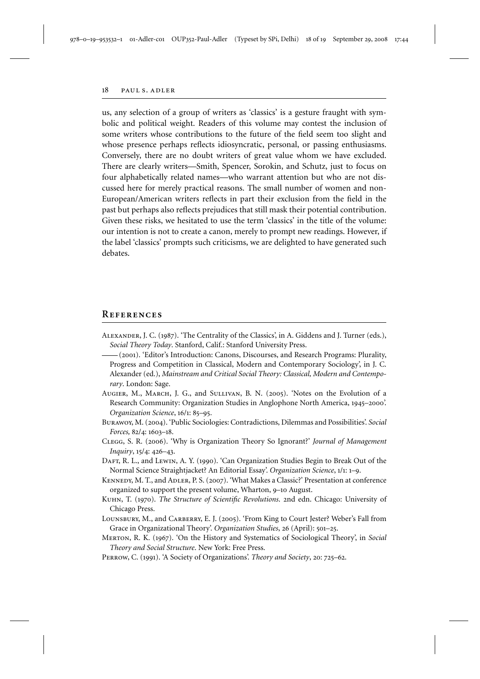us, any selection of a group of writers as 'classics' is a gesture fraught with symbolic and political weight. Readers of this volume may contest the inclusion of some writers whose contributions to the future of the field seem too slight and whose presence perhaps reflects idiosyncratic, personal, or passing enthusiasms. Conversely, there are no doubt writers of great value whom we have excluded. There are clearly writers—Smith, Spencer, Sorokin, and Schutz, just to focus on four alphabetically related names—who warrant attention but who are not discussed here for merely practical reasons. The small number of women and non-European/American writers reflects in part their exclusion from the field in the past but perhaps also reflects prejudices that still mask their potential contribution. Given these risks, we hesitated to use the term 'classics' in the title of the volume: our intention is not to create a canon, merely to prompt new readings. However, if the label 'classics' prompts such criticisms, we are delighted to have generated such debates.

#### **References**

- Alexander, J. C. (1987). 'The Centrality of the Classics', in A. Giddens and J. Turner (eds.), *Social Theory Today*. Stanford, Calif.: Stanford University Press.
- (2001). 'Editor's Introduction: Canons, Discourses, and Research Programs: Plurality, Progress and Competition in Classical, Modern and Contemporary Sociology', in J. C. Alexander (ed.), *Mainstream and Critical Social Theory: Classical, Modern and Contemporary*. London: Sage.
- Augier, M., March, J. G., and Sullivan, B. N. (2005). 'Notes on the Evolution of a Research Community: Organization Studies in Anglophone North America, 1945–2000'. *Organization Science*, 16/1: 85–95.
- Burawoy, M. (2004). 'Public Sociologies: Contradictions, Dilemmas and Possibilities'. *Social Forces,* 82/4: 1603–18.
- Clegg, S. R. (2006). 'Why is Organization Theory So Ignorant?' *Journal of Management Inquiry*, 15/4: 426–43.
- DAFT, R. L., and LEWIN, A. Y. (1990). 'Can Organization Studies Begin to Break Out of the Normal Science Straightjacket? An Editorial Essay'. *Organization Science*, 1/1: 1–9.
- KENNEDY, M. T., and ADLER, P. S. (2007). 'What Makes a Classic?' Presentation at conference organized to support the present volume, Wharton, 9–10 August.
- Kuhn, T. (1970). *The Structure of Scientific Revolutions*. 2nd edn. Chicago: University of Chicago Press.
- LOUNSBURY, M., and CARBERRY, E. J. (2005). 'From King to Court Jester? Weber's Fall from Grace in Organizational Theory'. *Organization Studies*, 26 (April): 501–25.
- Merton, R. K. (1967). 'On the History and Systematics of Sociological Theory', in *Social Theory and Social Structure*. New York: Free Press.
- Perrow, C. (1991). 'A Society of Organizations'. *Theory and Society*, 20: 725–62.